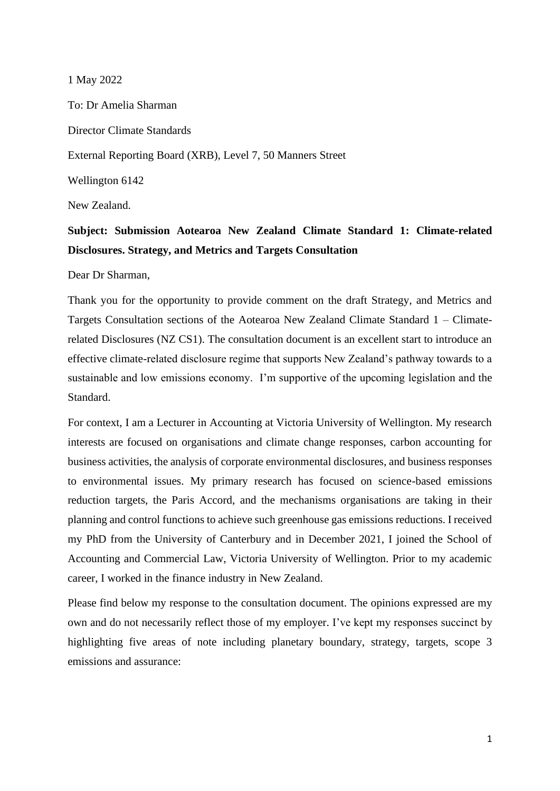1 May 2022

To: Dr Amelia Sharman Director Climate Standards External Reporting Board (XRB), Level 7, 50 Manners Street Wellington 6142

New Zealand.

## **Subject: Submission Aotearoa New Zealand Climate Standard 1: Climate-related Disclosures. Strategy, and Metrics and Targets Consultation**

Dear Dr Sharman,

Thank you for the opportunity to provide comment on the draft Strategy, and Metrics and Targets Consultation sections of the Aotearoa New Zealand Climate Standard 1 – Climaterelated Disclosures (NZ CS1). The consultation document is an excellent start to introduce an effective climate-related disclosure regime that supports New Zealand's pathway towards to a sustainable and low emissions economy. I'm supportive of the upcoming legislation and the Standard.

For context, I am a Lecturer in Accounting at Victoria University of Wellington. My research interests are focused on organisations and climate change responses, carbon accounting for business activities, the analysis of corporate environmental disclosures, and business responses to environmental issues. My primary research has focused on science-based emissions reduction targets, the Paris Accord, and the mechanisms organisations are taking in their planning and control functions to achieve such greenhouse gas emissions reductions. I received my PhD from the University of Canterbury and in December 2021, I joined the School of Accounting and Commercial Law, Victoria University of Wellington. Prior to my academic career, I worked in the finance industry in New Zealand.

Please find below my response to the consultation document. The opinions expressed are my own and do not necessarily reflect those of my employer. I've kept my responses succinct by highlighting five areas of note including planetary boundary, strategy, targets, scope 3 emissions and assurance: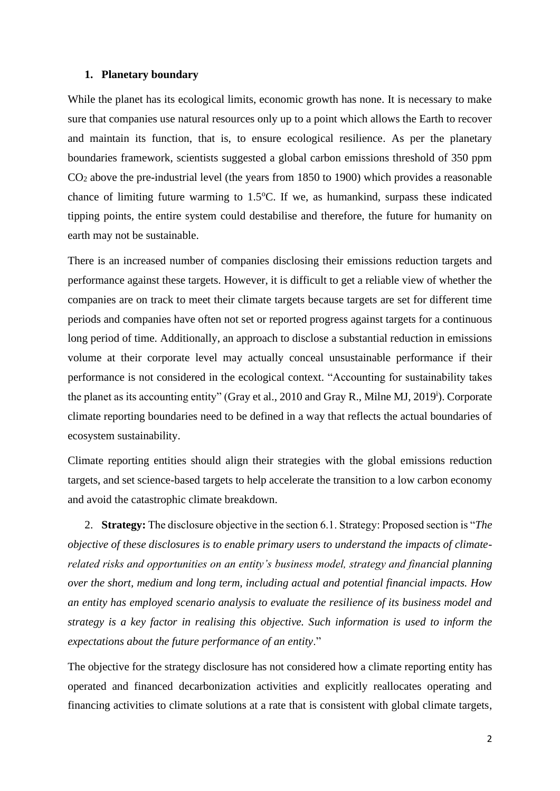#### **1. Planetary boundary**

While the planet has its ecological limits, economic growth has none. It is necessary to make sure that companies use natural resources only up to a point which allows the Earth to recover and maintain its function, that is, to ensure ecological resilience. As per the planetary boundaries framework, scientists suggested a global carbon emissions threshold of 350 ppm CO<sup>2</sup> above the pre-industrial level (the years from 1850 to 1900) which provides a reasonable chance of limiting future warming to  $1.5^{\circ}$ C. If we, as humankind, surpass these indicated tipping points, the entire system could destabilise and therefore, the future for humanity on earth may not be sustainable.

There is an increased number of companies disclosing their emissions reduction targets and performance against these targets. However, it is difficult to get a reliable view of whether the companies are on track to meet their climate targets because targets are set for different time periods and companies have often not set or reported progress against targets for a continuous long period of time. Additionally, an approach to disclose a substantial reduction in emissions volume at their corporate level may actually conceal unsustainable performance if their performance is not considered in the ecological context. "Accounting for sustainability takes the planet as its accounting entity" (Gray et al., 2010 and Gray R., Milne MJ, 2019<sup>i</sup>). Corporate climate reporting boundaries need to be defined in a way that reflects the actual boundaries of ecosystem sustainability.

Climate reporting entities should align their strategies with the global emissions reduction targets, and set science-based targets to help accelerate the transition to a low carbon economy and avoid the catastrophic climate breakdown.

2. **Strategy:** The disclosure objective in the section 6.1. Strategy: Proposed section is "*The objective of these disclosures is to enable primary users to understand the impacts of climaterelated risks and opportunities on an entity's business model, strategy and financial planning over the short, medium and long term, including actual and potential financial impacts. How an entity has employed scenario analysis to evaluate the resilience of its business model and strategy is a key factor in realising this objective. Such information is used to inform the expectations about the future performance of an entity*."

The objective for the strategy disclosure has not considered how a climate reporting entity has operated and financed decarbonization activities and explicitly reallocates operating and financing activities to climate solutions at a rate that is consistent with global climate targets,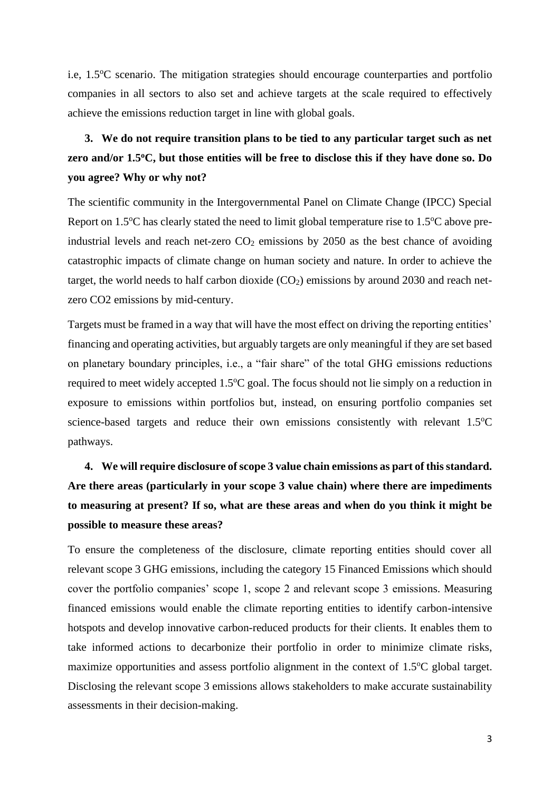i.e,  $1.5^{\circ}$ C scenario. The mitigation strategies should encourage counterparties and portfolio companies in all sectors to also set and achieve targets at the scale required to effectively achieve the emissions reduction target in line with global goals.

## **3. We do not require transition plans to be tied to any particular target such as net zero and/or 1.5<sup>o</sup>C, but those entities will be free to disclose this if they have done so. Do you agree? Why or why not?**

The scientific community in the Intergovernmental Panel on Climate Change (IPCC) Special Report on  $1.5^{\circ}$ C has clearly stated the need to limit global temperature rise to  $1.5^{\circ}$ C above preindustrial levels and reach net-zero  $CO<sub>2</sub>$  emissions by 2050 as the best chance of avoiding catastrophic impacts of climate change on human society and nature. In order to achieve the target, the world needs to half carbon dioxide  $(CO<sub>2</sub>)$  emissions by around 2030 and reach netzero CO2 emissions by mid-century.

Targets must be framed in a way that will have the most effect on driving the reporting entities' financing and operating activities, but arguably targets are only meaningful if they are set based on planetary boundary principles, i.e., a "fair share" of the total GHG emissions reductions required to meet widely accepted 1.5<sup>o</sup>C goal. The focus should not lie simply on a reduction in exposure to emissions within portfolios but, instead, on ensuring portfolio companies set science-based targets and reduce their own emissions consistently with relevant  $1.5^{\circ}$ C pathways.

# **4. We will require disclosure of scope 3 value chain emissions as part of this standard. Are there areas (particularly in your scope 3 value chain) where there are impediments to measuring at present? If so, what are these areas and when do you think it might be possible to measure these areas?**

To ensure the completeness of the disclosure, climate reporting entities should cover all relevant scope 3 GHG emissions, including the category 15 Financed Emissions which should cover the portfolio companies' scope 1, scope 2 and relevant scope 3 emissions. Measuring financed emissions would enable the climate reporting entities to identify carbon-intensive hotspots and develop innovative carbon-reduced products for their clients. It enables them to take informed actions to decarbonize their portfolio in order to minimize climate risks, maximize opportunities and assess portfolio alignment in the context of  $1.5^{\circ}C$  global target. Disclosing the relevant scope 3 emissions allows stakeholders to make accurate sustainability assessments in their decision-making.